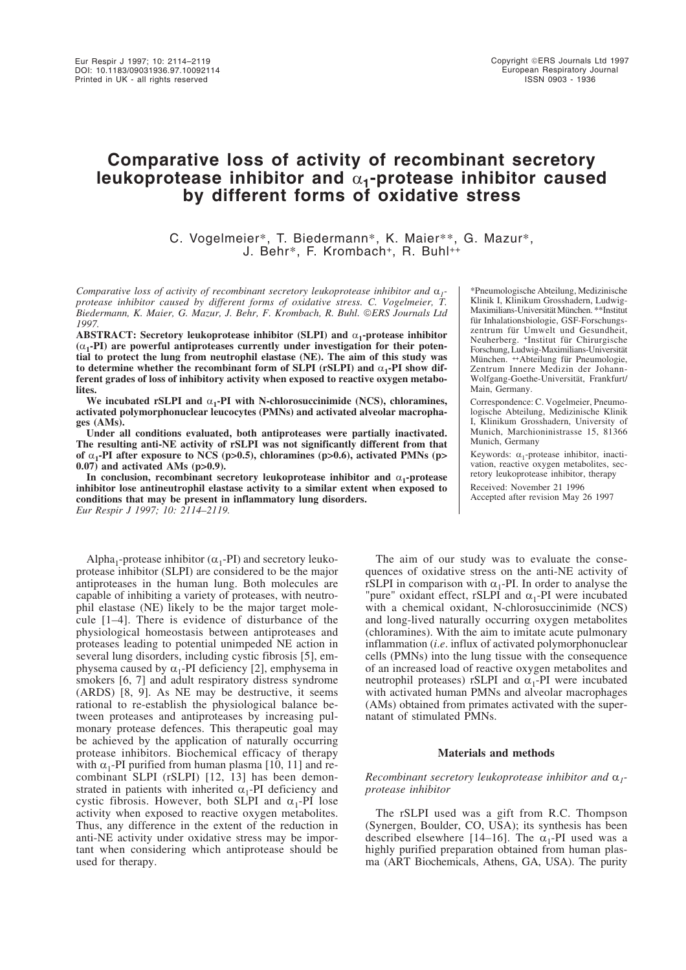# **Comparative loss of activity of recombinant secretory leukoprotease inhibitor and** α**1-protease inhibitor caused by different forms of oxidative stress**

C. Vogelmeier\*, T. Biedermann\*, K. Maier\*\*, G. Mazur\*, J. Behr\*, F. Krombach<sup>+</sup>, R. Buhl++

*Comparative loss of activity of recombinant secretory leukoprotease inhibitor and* α*1 protease inhibitor caused by different forms of oxidative stress. C. Vogelmeier, T. Biedermann, K. Maier, G. Mazur, J. Behr, F. Krombach, R. Buhl. ERS Journals Ltd 1997.*

**ABSTRACT: Secretory leukoprotease inhibitor (SLPI) and** α**1-protease inhibitor (**α**1-PI) are powerful antiproteases currently under investigation for their potential to protect the lung from neutrophil elastase (NE). The aim of this study was to determine whether the recombinant form of SLPI (rSLPI) and** α**1-PI show different grades of loss of inhibitory activity when exposed to reactive oxygen metabolites.**

We incubated rSLPI and  $\alpha_1$ -PI with N-chlorosuccinimide (NCS), chloramines, **activated polymorphonuclear leucocytes (PMNs) and activated alveolar macrophages (AMs).**

**Under all conditions evaluated, both antiproteases were partially inactivated. The resulting anti-NE activity of rSLPI was not significantly different from that** of  $\alpha_1$ -PI after exposure to NCS (p>0.5), chloramines (p>0.6), activated PMNs (p> **0.07) and activated AMs (p>0.9).**

**In conclusion, recombinant secretory leukoprotease inhibitor and** α**1-protease inhibitor lose antineutrophil elastase activity to a similar extent when exposed to conditions that may be present in inflammatory lung disorders.** *Eur Respir J 1997; 10: 2114–2119.*

Alpha<sub>1</sub>-protease inhibitor ( $\alpha_1$ -PI) and secretory leukoprotease inhibitor (SLPI) are considered to be the major antiproteases in the human lung. Both molecules are capable of inhibiting a variety of proteases, with neutrophil elastase (NE) likely to be the major target molecule [1–4]. There is evidence of disturbance of the physiological homeostasis between antiproteases and proteases leading to potential unimpeded NE action in several lung disorders, including cystic fibrosis [5], emphysema caused by  $\alpha_1$ -PI deficiency [2], emphysema in smokers [6, 7] and adult respiratory distress syndrome (ARDS) [8, 9]. As NE may be destructive, it seems rational to re-establish the physiological balance between proteases and antiproteases by increasing pulmonary protease defences. This therapeutic goal may be achieved by the application of naturally occurring protease inhibitors. Biochemical efficacy of therapy with  $\alpha_1$ -PI purified from human plasma [10, 11] and recombinant SLPI (rSLPI) [12, 13] has been demonstrated in patients with inherited  $\alpha_1$ -PI deficiency and cystic fibrosis. However, both SLPI and  $\alpha_1$ -PI lose activity when exposed to reactive oxygen metabolites. Thus, any difference in the extent of the reduction in anti-NE activity under oxidative stress may be important when considering which antiprotease should be used for therapy.

\*Pneumologische Abteilung, Medizinische Klinik I, Klinikum Grosshadern, Ludwig-Maximilians-Universität München. \*\*Institut für Inhalationsbiologie, GSF-Forschungszentrum für Umwelt und Gesundheit, Neuherberg. +Institut für Chirurgische Forschung, Ludwig-Maximilians-Universität München. ++Abteilung für Pneumologie, Zentrum Innere Medizin der Johann-Wolfgang-Goethe-Universität, Frankfurt/ Main, Germany.

Correspondence: C. Vogelmeier, Pneumologische Abteilung, Medizinische Klinik I, Klinikum Grosshadern, University of Munich, Marchioninistrasse 15, 81366 Munich, Germany

Keywords:  $\alpha_1$ -protease inhibitor, inactivation, reactive oxygen metabolites, secretory leukoprotease inhibitor, therapy

Received: November 21 1996 Accepted after revision May 26 1997

The aim of our study was to evaluate the consequences of oxidative stress on the anti-NE activity of rSLPI in comparison with  $\alpha_1$ -PI. In order to analyse the "pure" oxidant effect, rSLPI and  $\alpha_1$ -PI were incubated with a chemical oxidant, N-chlorosuccinimide (NCS) and long-lived naturally occurring oxygen metabolites (chloramines). With the aim to imitate acute pulmonary inflammation (*i*.*e*. influx of activated polymorphonuclear cells (PMNs) into the lung tissue with the consequence of an increased load of reactive oxygen metabolites and neutrophil proteases) rSLPI and  $\alpha_1$ -PI were incubated with activated human PMNs and alveolar macrophages (AMs) obtained from primates activated with the supernatant of stimulated PMNs.

# **Materials and methods**

# *Recombinant secretory leukoprotease inhibitor and* α*1 protease inhibitor*

The rSLPI used was a gift from R.C. Thompson (Synergen, Boulder, CO, USA); its synthesis has been described elsewhere [14–16]. The  $\alpha_1$ -PI used was a highly purified preparation obtained from human plasma (ART Biochemicals, Athens, GA, USA). The purity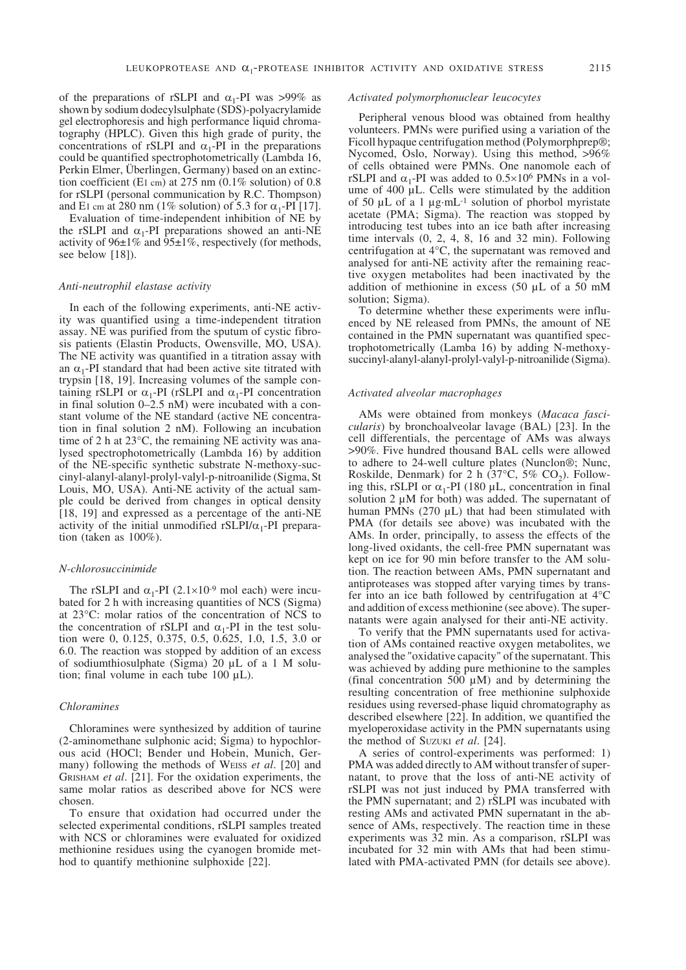of the preparations of rSLPI and  $\alpha_1$ -PI was >99% as shown by sodium dodecylsulphate (SDS)-polyacrylamide gel electrophoresis and high performance liquid chromatography (HPLC). Given this high grade of purity, the concentrations of rSLPI and  $\alpha_1$ -PI in the preparations could be quantified spectrophotometrically (Lambda 16, Perkin Elmer, Überlingen, Germany) based on an extinction coefficient (E1 cm) at 275 nm (0.1% solution) of 0.8 for rSLPI (personal communication by R.C. Thompson) and E1 cm at 280 nm (1% solution) of 5.3 for  $\alpha_1$ -PI [17].

Evaluation of time-independent inhibition of NE by the rSLPI and  $\alpha_1$ -PI preparations showed an anti-NE activity of  $96\pm1\%$  and  $95\pm1\%$ , respectively (for methods, see below [18]).

### *Anti-neutrophil elastase activity*

In each of the following experiments, anti-NE activity was quantified using a time-independent titration assay. NE was purified from the sputum of cystic fibrosis patients (Elastin Products, Owensville, MO, USA). The NE activity was quantified in a titration assay with an  $\alpha_1$ -PI standard that had been active site titrated with trypsin [18, 19]. Increasing volumes of the sample containing rSLPI or  $\alpha_1$ -PI (rSLPI and  $\alpha_1$ -PI concentration in final solution 0–2.5 nM) were incubated with a constant volume of the NE standard (active NE concentration in final solution 2 nM). Following an incubation time of 2 h at 23°C, the remaining NE activity was analysed spectrophotometrically (Lambda 16) by addition of the NE-specific synthetic substrate N-methoxy-succinyl-alanyl-alanyl-prolyl-valyl-p-nitroanilide (Sigma, St Louis, MO, USA). Anti-NE activity of the actual sample could be derived from changes in optical density [18, 19] and expressed as a percentage of the anti-NE activity of the initial unmodified rSLPI/ $\alpha_1$ -PI preparation (taken as 100%).

## *N-chlorosuccinimide*

The rSLPI and  $\alpha_1$ -PI (2.1×10<sup>-9</sup> mol each) were incubated for 2 h with increasing quantities of NCS (Sigma) at 23°C: molar ratios of the concentration of NCS to the concentration of rSLPI and  $\alpha_1$ -PI in the test solution were 0, 0.125, 0.375, 0.5, 0.625, 1.0, 1.5, 3.0 or 6.0. The reaction was stopped by addition of an excess of sodiumthiosulphate (Sigma) 20 µL of a 1 M solution; final volume in each tube 100 µL).

## *Chloramines*

Chloramines were synthesized by addition of taurine (2-aminomethane sulphonic acid; Sigma) to hypochlorous acid (HOCl; Bender und Hobein, Munich, Germany) following the methods of WEISS *et al*. [20] and GRISHAM *et al*. [21]. For the oxidation experiments, the same molar ratios as described above for NCS were chosen.

To ensure that oxidation had occurred under the selected experimental conditions, rSLPI samples treated with NCS or chloramines were evaluated for oxidized methionine residues using the cyanogen bromide method to quantify methionine sulphoxide [22].

## *Activated polymorphonuclear leucocytes*

Peripheral venous blood was obtained from healthy volunteers. PMNs were purified using a variation of the Ficoll hypaque centrifugation method (Polymorphprep®; Nycomed, Oslo, Norway). Using this method, >96% of cells obtained were PMNs. One nanomole each of rSLPI and  $\alpha_1$ -PI was added to 0.5×10<sup>6</sup> PMNs in a volume of 400 µL. Cells were stimulated by the addition of 50  $\mu$ L of a 1  $\mu$ g·mL<sup>-1</sup> solution of phorbol myristate acetate (PMA; Sigma). The reaction was stopped by introducing test tubes into an ice bath after increasing time intervals (0, 2, 4, 8, 16 and 32 min). Following centrifugation at 4°C, the supernatant was removed and analysed for anti-NE activity after the remaining reactive oxygen metabolites had been inactivated by the addition of methionine in excess (50 µL of a 50 mM solution; Sigma).

To determine whether these experiments were influenced by NE released from PMNs, the amount of NE contained in the PMN supernatant was quantified spectrophotometrically (Lamba 16) by adding N-methoxysuccinyl-alanyl-alanyl-prolyl-valyl-p-nitroanilide (Sigma).

## *Activated alveolar macrophages*

AMs were obtained from monkeys (*Macaca fascicularis*) by bronchoalveolar lavage (BAL) [23]. In the cell differentials, the percentage of AMs was always >90%. Five hundred thousand BAL cells were allowed to adhere to 24-well culture plates (Nunclon®; Nunc, Roskilde, Denmark) for 2 h (37 $^{\circ}$ C, 5% CO<sub>2</sub>). Following this, rSLPI or  $\alpha_1$ -PI (180 µL, concentration in final solution 2  $\mu$ M for both) was added. The supernatant of human PMNs (270 µL) that had been stimulated with PMA (for details see above) was incubated with the AMs. In order, principally, to assess the effects of the long-lived oxidants, the cell-free PMN supernatant was kept on ice for 90 min before transfer to the AM solution. The reaction between AMs, PMN supernatant and antiproteases was stopped after varying times by transfer into an ice bath followed by centrifugation at 4°C and addition of excess methionine (see above). The supernatants were again analysed for their anti-NE activity.

To verify that the PMN supernatants used for activation of AMs contained reactive oxygen metabolites, we analysed the "oxidative capacity" of the supernatant. This was achieved by adding pure methionine to the samples (final concentration 500  $\mu$ M) and by determining the resulting concentration of free methionine sulphoxide residues using reversed-phase liquid chromatography as described elsewhere [22]. In addition, we quantified the myeloperoxidase activity in the PMN supernatants using the method of SUZUKI *et al*. [24].

A series of control-experiments was performed: 1) PMA was added directly to AM without transfer of supernatant, to prove that the loss of anti-NE activity of rSLPI was not just induced by PMA transferred with the PMN supernatant; and 2) rSLPI was incubated with resting AMs and activated PMN supernatant in the absence of AMs, respectively. The reaction time in these experiments was 32 min. As a comparison, rSLPI was incubated for 32 min with AMs that had been stimulated with PMA-activated PMN (for details see above).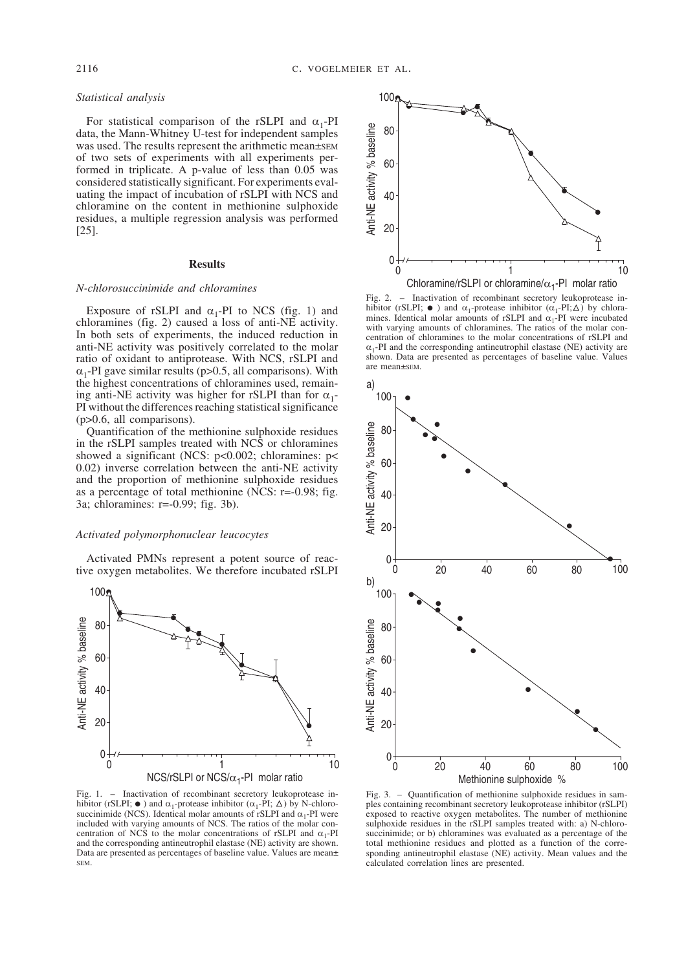# *Statistical analysis*

For statistical comparison of the rSLPI and  $\alpha_1$ -PI data, the Mann-Whitney U-test for independent samples was used. The results represent the arithmetic mean±sEM of two sets of experiments with all experiments performed in triplicate. A p-value of less than 0.05 was considered statistically significant. For experiments evaluating the impact of incubation of rSLPI with NCS and chloramine on the content in methionine sulphoxide residues, a multiple regression analysis was performed [25].

# **Results**

# *N-chlorosuccinimide and chloramines*

Exposure of rSLPI and  $\alpha_1$ -PI to NCS (fig. 1) and chloramines (fig. 2) caused a loss of anti-NE activity. In both sets of experiments, the induced reduction in anti-NE activity was positively correlated to the molar ratio of oxidant to antiprotease. With NCS, rSLPI and  $\alpha_1$ -PI gave similar results (p>0.5, all comparisons). With the highest concentrations of chloramines used, remaining anti-NE activity was higher for rSLPI than for  $\alpha_1$ -PI without the differences reaching statistical significance (p>0.6, all comparisons).

Quantification of the methionine sulphoxide residues in the rSLPI samples treated with NCS or chloramines showed a significant (NCS: p<0.002; chloramines: p< 0.02) inverse correlation between the anti-NE activity and the proportion of methionine sulphoxide residues as a percentage of total methionine (NCS: r=-0.98; fig. 3a; chloramines: r=-0.99; fig. 3b).

# *Activated polymorphonuclear leucocytes*

Activated PMNs represent a potent source of reactive oxygen metabolites. We therefore incubated rSLPI



Fig. 1. – Inactivation of recombinant secretory leukoprotease inhibitor (rSLPI;  $\bullet$ ) and  $\alpha_1$ -protease inhibitor ( $\alpha_1$ -PI;  $\triangle$ ) by N-chlorosuccinimide (NCS). Identical molar amounts of rSLPI and  $\alpha_1$ -PI were included with varying amounts of NCS. The ratios of the molar concentration of NCS to the molar concentrations of rSLPI and  $\alpha_1$ -PI and the corresponding antineutrophil elastase (NE) activity are shown. Data are presented as percentages of baseline value. Values are mean± SEM.



Fig. 2. – Inactivation of recombinant secretory leukoprotease inhibitor (rSLPI;  $\bullet$ ) and  $\alpha_1$ -protease inhibitor ( $\alpha_1$ -PI; $\triangle$ ) by chloramines. Identical molar amounts of rSLPI and  $\alpha_1$ -PI were incubated with varying amounts of chloramines. The ratios of the molar concentration of chloramines to the molar concentrations of rSLPI and  $\alpha_1$ -PI and the corresponding antineutrophil elastase (NE) activity are shown. Data are presented as percentages of baseline value. Values are mean±SEM.



Fig. 3. – Quantification of methionine sulphoxide residues in samples containing recombinant secretory leukoprotease inhibitor (rSLPI) exposed to reactive oxygen metabolites. The number of methionine sulphoxide residues in the rSLPI samples treated with: a) N-chlorosuccinimide; or b) chloramines was evaluated as a percentage of the total methionine residues and plotted as a function of the corresponding antineutrophil elastase (NE) activity. Mean values and the calculated correlation lines are presented.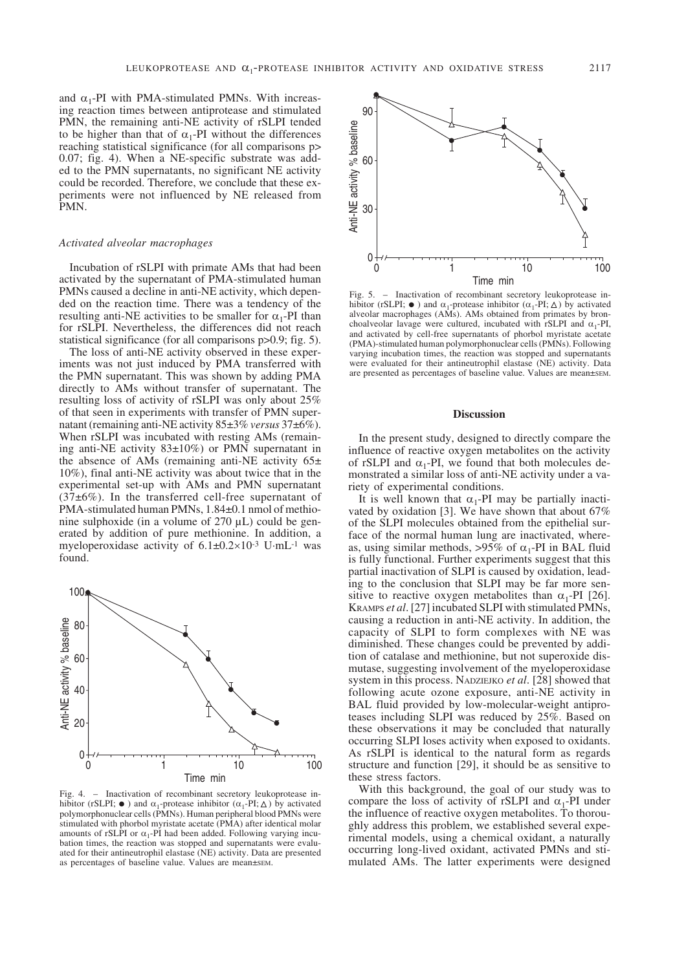and  $\alpha_1$ -PI with PMA-stimulated PMNs. With increasing reaction times between antiprotease and stimulated PMN, the remaining anti-NE activity of rSLPI tended to be higher than that of  $\alpha_1$ -PI without the differences reaching statistical significance (for all comparisons p> 0.07; fig. 4). When a NE-specific substrate was added to the PMN supernatants, no significant NE activity could be recorded. Therefore, we conclude that these experiments were not influenced by NE released from PMN.

# *Activated alveolar macrophages*

Incubation of rSLPI with primate AMs that had been activated by the supernatant of PMA-stimulated human PMNs caused a decline in anti-NE activity, which depended on the reaction time. There was a tendency of the resulting anti-NE activities to be smaller for  $\alpha_1$ -PI than for rSLPI. Nevertheless, the differences did not reach statistical significance (for all comparisons p>0.9; fig. 5).

The loss of anti-NE activity observed in these experiments was not just induced by PMA transferred with the PMN supernatant. This was shown by adding PMA directly to AMs without transfer of supernatant. The resulting loss of activity of rSLPI was only about 25% of that seen in experiments with transfer of PMN supernatant (remaining anti-NE activity 85±3% *versus* 37±6%). When rSLPI was incubated with resting AMs (remaining anti-NE activity  $83\pm10\%$  or PMN supernatant in the absence of AMs (remaining anti-NE activity  $65\pm$ 10%), final anti-NE activity was about twice that in the experimental set-up with AMs and PMN supernatant  $(37±6%)$ . In the transferred cell-free supernatant of PMA-stimulated human PMNs, 1.84±0.1 nmol of methionine sulphoxide (in a volume of 270 µL) could be generated by addition of pure methionine. In addition, a myeloperoxidase activity of  $6.1 \pm 0.2 \times 10^{-3}$  U·mL<sup>-1</sup> was found.



Fig. 4. – Inactivation of recombinant secretory leukoprotease inhibitor (rSLPI;  $\bullet$ ) and  $\alpha_1$ -protease inhibitor ( $\alpha_1$ -PI;  $\triangle$ ) by activated polymorphonuclear cells (PMNs). Human peripheral blood PMNs were stimulated with phorbol myristate acetate (PMA) after identical molar amounts of rSLPI or  $\alpha_1$ -PI had been added. Following varying incubation times, the reaction was stopped and supernatants were evaluated for their antineutrophil elastase (NE) activity. Data are presented as percentages of baseline value. Values are mean±SEM.



Fig. 5. – Inactivation of recombinant secretory leukoprotease inhibitor (rSLPI;  $\bullet$ ) and  $\alpha_1$ -protease inhibitor ( $\alpha_1$ -PI;  $\triangle$ ) by activated alveolar macrophages (AMs). AMs obtained from primates by bronchoalveolar lavage were cultured, incubated with rSLPI and  $\alpha$ -PI, and activated by cell-free supernatants of phorbol myristate acetate (PMA)-stimulated human polymorphonuclear cells (PMNs). Following varying incubation times, the reaction was stopped and supernatants were evaluated for their antineutrophil elastase (NE) activity. Data are presented as percentages of baseline value. Values are mean±sEM.

# **Discussion**

In the present study, designed to directly compare the influence of reactive oxygen metabolites on the activity of rSLPI and  $\alpha_1$ -PI, we found that both molecules demonstrated a similar loss of anti-NE activity under a variety of experimental conditions.

It is well known that  $\alpha_1$ -PI may be partially inactivated by oxidation [3]. We have shown that about 67% of the SLPI molecules obtained from the epithelial surface of the normal human lung are inactivated, whereas, using similar methods, >95% of  $\alpha_1$ -PI in BAL fluid is fully functional. Further experiments suggest that this partial inactivation of SLPI is caused by oxidation, leading to the conclusion that SLPI may be far more sensitive to reactive oxygen metabolites than  $\alpha_1$ -PI [26]. KRAMPS *et al*. [27] incubated SLPI with stimulated PMNs, causing a reduction in anti-NE activity. In addition, the capacity of SLPI to form complexes with NE was diminished. These changes could be prevented by addition of catalase and methionine, but not superoxide dismutase, suggesting involvement of the myeloperoxidase system in this process. NADZIEJKO *et al*. [28] showed that following acute ozone exposure, anti-NE activity in BAL fluid provided by low-molecular-weight antiproteases including SLPI was reduced by 25%. Based on these observations it may be concluded that naturally occurring SLPI loses activity when exposed to oxidants. As rSLPI is identical to the natural form as regards structure and function [29], it should be as sensitive to these stress factors.

With this background, the goal of our study was to compare the loss of activity of rSLPI and  $\alpha_1$ -PI under the influence of reactive oxygen metabolites. To thoroughly address this problem, we established several experimental models, using a chemical oxidant, a naturally occurring long-lived oxidant, activated PMNs and stimulated AMs. The latter experiments were designed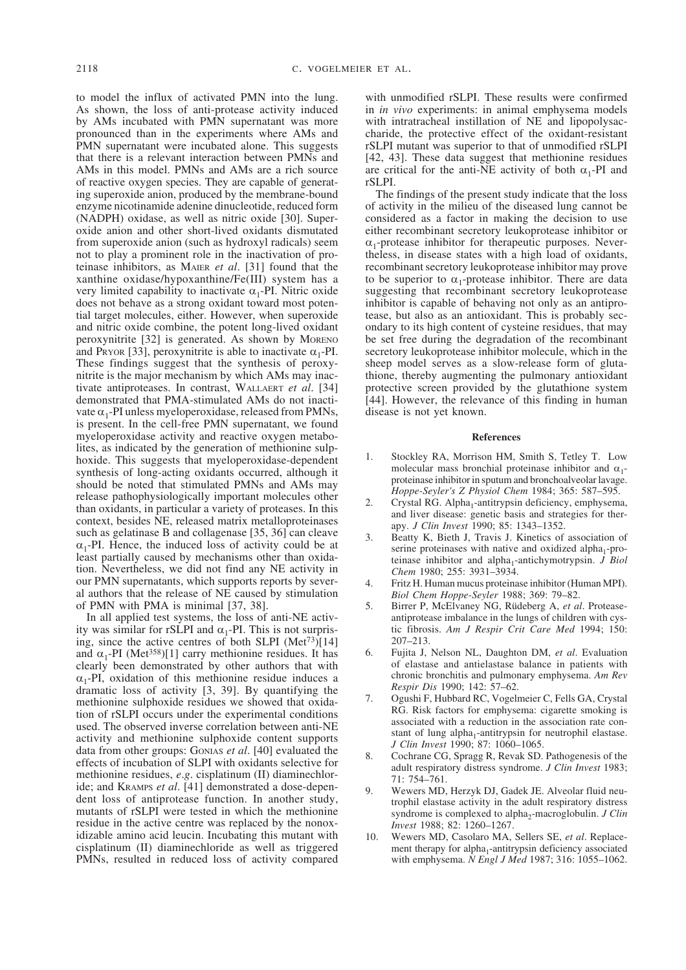to model the influx of activated PMN into the lung. As shown, the loss of anti-protease activity induced by AMs incubated with PMN supernatant was more pronounced than in the experiments where AMs and PMN supernatant were incubated alone. This suggests that there is a relevant interaction between PMNs and AMs in this model. PMNs and AMs are a rich source of reactive oxygen species. They are capable of generating superoxide anion, produced by the membrane-bound enzyme nicotinamide adenine dinucleotide, reduced form (NADPH) oxidase, as well as nitric oxide [30]. Superoxide anion and other short-lived oxidants dismutated from superoxide anion (such as hydroxyl radicals) seem not to play a prominent role in the inactivation of proteinase inhibitors, as MAIER *et al*. [31] found that the xanthine oxidase/hypoxanthine/Fe(III) system has a very limited capability to inactivate  $\alpha_1$ -PI. Nitric oxide does not behave as a strong oxidant toward most potential target molecules, either. However, when superoxide and nitric oxide combine, the potent long-lived oxidant peroxynitrite [32] is generated. As shown by MORENO and Pryor [33], peroxynitrite is able to inactivate  $\alpha_1$ -PI. These findings suggest that the synthesis of peroxynitrite is the major mechanism by which AMs may inactivate antiproteases. In contrast, WALLAERT *et al*. [34] demonstrated that PMA-stimulated AMs do not inactivate  $\alpha_1$ -PI unless myeloperoxidase, released from PMNs, is present. In the cell-free PMN supernatant, we found myeloperoxidase activity and reactive oxygen metabolites, as indicated by the generation of methionine sulphoxide. This suggests that myeloperoxidase-dependent synthesis of long-acting oxidants occurred, although it should be noted that stimulated PMNs and AMs may release pathophysiologically important molecules other than oxidants, in particular a variety of proteases. In this context, besides NE, released matrix metalloproteinases such as gelatinase B and collagenase [35, 36] can cleave  $\alpha_1$ -PI. Hence, the induced loss of activity could be at least partially caused by mechanisms other than oxidation. Nevertheless, we did not find any NE activity in our PMN supernatants, which supports reports by several authors that the release of NE caused by stimulation of PMN with PMA is minimal [37, 38].

In all applied test systems, the loss of anti-NE activity was similar for rSLPI and  $\alpha_1$ -PI. This is not surprising, since the active centres of both SLPI (Met<sup>73</sup>)[14] and  $\alpha_1$ -PI (Met<sup>358</sup>)[1] carry methionine residues. It has clearly been demonstrated by other authors that with  $\alpha_1$ -PI, oxidation of this methionine residue induces a dramatic loss of activity [3, 39]. By quantifying the methionine sulphoxide residues we showed that oxidation of rSLPI occurs under the experimental conditions used. The observed inverse correlation between anti-NE activity and methionine sulphoxide content supports data from other groups: GONIAS *et al*. [40] evaluated the effects of incubation of SLPI with oxidants selective for methionine residues, *e*.*g*. cisplatinum (II) diaminechloride; and KRAMPS *et al*. [41] demonstrated a dose-dependent loss of antiprotease function. In another study, mutants of rSLPI were tested in which the methionine residue in the active centre was replaced by the nonoxidizable amino acid leucin. Incubating this mutant with cisplatinum (II) diaminechloride as well as triggered PMNs, resulted in reduced loss of activity compared

with unmodified rSLPI. These results were confirmed in *in vivo* experiments: in animal emphysema models with intratracheal instillation of NE and lipopolysaccharide, the protective effect of the oxidant-resistant rSLPI mutant was superior to that of unmodified rSLPI [42, 43]. These data suggest that methionine residues are critical for the anti-NE activity of both  $\alpha_1$ -PI and rSLPI.

The findings of the present study indicate that the loss of activity in the milieu of the diseased lung cannot be considered as a factor in making the decision to use either recombinant secretory leukoprotease inhibitor or  $\alpha_1$ -protease inhibitor for therapeutic purposes. Nevertheless, in disease states with a high load of oxidants, recombinant secretory leukoprotease inhibitor may prove to be superior to  $\alpha_1$ -protease inhibitor. There are data suggesting that recombinant secretory leukoprotease inhibitor is capable of behaving not only as an antiprotease, but also as an antioxidant. This is probably secondary to its high content of cysteine residues, that may be set free during the degradation of the recombinant secretory leukoprotease inhibitor molecule, which in the sheep model serves as a slow-release form of glutathione, thereby augmenting the pulmonary antioxidant protective screen provided by the glutathione system [44]. However, the relevance of this finding in human disease is not yet known.

## **References**

- 1. Stockley RA, Morrison HM, Smith S, Tetley T. Low molecular mass bronchial proteinase inhibitor and  $\alpha_1$ proteinase inhibitor in sputum and bronchoalveolar lavage. *Hoppe-Seyler's Z Physiol Chem* 1984; 365: 587–595.
- 2. Crystal RG. Alpha<sub>1</sub>-antitrypsin deficiency, emphysema, and liver disease: genetic basis and strategies for therapy. *J Clin Invest* 1990; 85: 1343–1352.
- 3. Beatty K, Bieth J, Travis J. Kinetics of association of serine proteinases with native and oxidized alpha<sub>1</sub>-proteinase inhibitor and alpha<sub>1</sub>-antichymotrypsin. *J Biol Chem* 1980; 255: 3931–3934.
- 4. Fritz H. Human mucus proteinase inhibitor (Human MPI). *Biol Chem Hoppe-Seyler* 1988; 369: 79–82.
- 5. Birrer P, McElvaney NG, Rüdeberg A, *et al*. Proteaseantiprotease imbalance in the lungs of children with cystic fibrosis. *Am J Respir Crit Care Med* 1994; 150: 207–213.
- 6. Fujita J, Nelson NL, Daughton DM, *et al*. Evaluation of elastase and antielastase balance in patients with chronic bronchitis and pulmonary emphysema. *Am Rev Respir Dis* 1990; 142: 57–62.
- 7. Ogushi F, Hubbard RC, Vogelmeier C, Fells GA, Crystal RG. Risk factors for emphysema: cigarette smoking is associated with a reduction in the association rate constant of lung alpha<sub>1</sub>-antitrypsin for neutrophil elastase. *J Clin Invest* 1990; 87: 1060–1065.
- 8. Cochrane CG, Spragg R, Revak SD. Pathogenesis of the adult respiratory distress syndrome. *J Clin Invest* 1983; 71: 754–761.
- 9. Wewers MD, Herzyk DJ, Gadek JE. Alveolar fluid neutrophil elastase activity in the adult respiratory distress syndrome is complexed to alpha<sub>2</sub>-macroglobulin. *J Clin Invest* 1988; 82: 1260–1267.
- 10. Wewers MD, Casolaro MA, Sellers SE, *et al*. Replacement therapy for alpha<sub>1</sub>-antitrypsin deficiency associated with emphysema. *N Engl J Med* 1987; 316: 1055–1062.